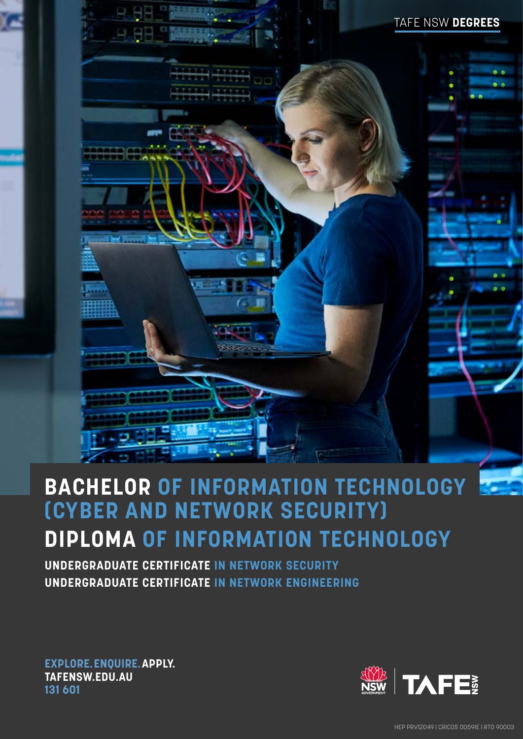## TAFE NSW **DEGREES**

# **BACHELOR OF INFORMATION TECHNOLOGY (CYBER AND NETWORK SECURITY) DIPLOMA OF INFORMATION TECHNOLOGY**

**UNDERGRADUATE CERTIFICATE IN NETWORK SECURITY UNDERGRADUATE CERTIFICATE IN NETWORK ENGINEERING**

**EXPLORE.ENQUIRE.APPLY. [TAFENSW.EDU.AU](http://tafensw.edu.au) 131 601**



HEP PRV12049 | CRICOS 00591E | RTO 90003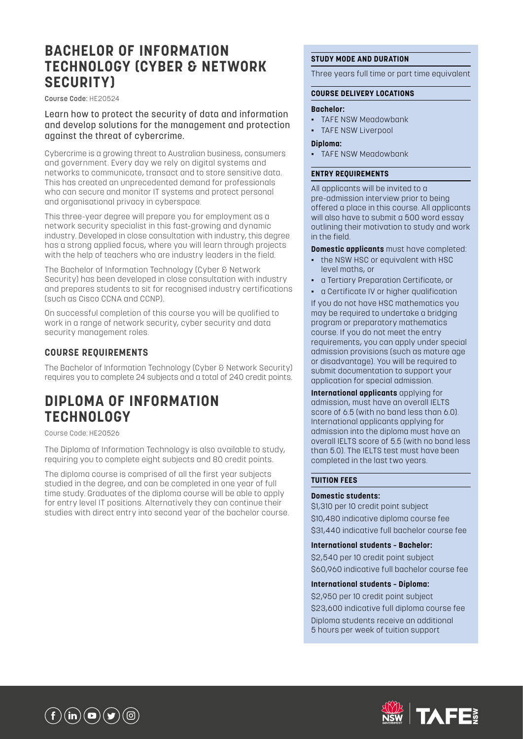## **BACHELOR OF INFORMATION TECHNOLOGY (CYBER & NETWORK SECURITY)**

Course Code: HE20524

Learn how to protect the security of data and information and develop solutions for the management and protection against the threat of cybercrime.

Cybercrime is a growing threat to Australian business, consumers and government. Every day we rely on digital systems and networks to communicate, transact and to store sensitive data. This has created an unprecedented demand for professionals who can secure and monitor IT systems and protect personal and organisational privacy in cyberspace.

This three-year degree will prepare you for employment as a network security specialist in this fast-growing and dynamic industry. Developed in close consultation with industry, this degree has a strong applied focus, where you will learn through projects with the help of teachers who are industry leaders in the field.

The Bachelor of Information Technology (Cyber & Network Security) has been developed in close consultation with industry and prepares students to sit for recognised industry certifications (such as Cisco CCNA and CCNP).

On successful completion of this course you will be qualified to work in a range of network security, cyber security and data security management roles.

### **COURSE REQUIREMENTS**

The Bachelor of Information Technology (Cyber & Network Security) requires you to complete 24 subjects and a total of 240 credit points.

## **DIPLOMA OF INFORMATION TECHNOLOGY**

Course Code: HE20526

The Diploma of Information Technology is also available to study, requiring you to complete eight subjects and 80 credit points.

The diploma course is comprised of all the first year subjects studied in the degree, and can be completed in one year of full time study. Graduates of the diploma course will be able to apply for entry level IT positions. Alternatively they can continue their studies with direct entry into second year of the bachelor course.

#### **STUDY MODE AND DURATION**

Three years full time or part time equivalent

#### **COURSE DELIVERY LOCATIONS**

#### **Bachelor:**

- TAFE NSW Meadowbank
- **TAFE NSW Liverpool**

#### **Diploma:**

▪ TAFE NSW Meadowbank

#### **ENTRY REQUIREMENTS**

All applicants will be invited to a pre-admission interview prior to being offered a place in this course. All applicants will also have to submit a 500 word essay outlining their motivation to study and work in the field.

**Domestic applicants** must have completed:

- the NSW HSC or equivalent with HSC level maths, or
- a Tertiary Preparation Certificate, or
- a Certificate IV or higher qualification

If you do not have HSC mathematics you may be required to undertake a bridging program or preparatory mathematics course. If you do not meet the entry requirements, you can apply under special admission provisions (such as mature age or disadvantage). You will be required to submit documentation to support your application for special admission.

**International applicants** applying for admission, must have an overall IELTS score of 6.5 (with no band less than 6.0). International applicants applying for admission into the diploma must have an overall IELTS score of 5.5 (with no band less than 5.0). The IELTS test must have been completed in the last two years.

#### **TUITION FEES**

#### **Domestic students:**

\$1,310 per 10 credit point subject \$10,480 indicative diploma course fee \$31,440 indicative full bachelor course fee

#### **International students – Bachelor:**

\$2,540 per 10 credit point subject \$60,960 indicative full bachelor course fee

#### **International students – Diploma:**

\$2,950 per 10 credit point subject \$23,600 indicative full diploma course fee Diploma students receive an additional 5 hours per week of tuition support



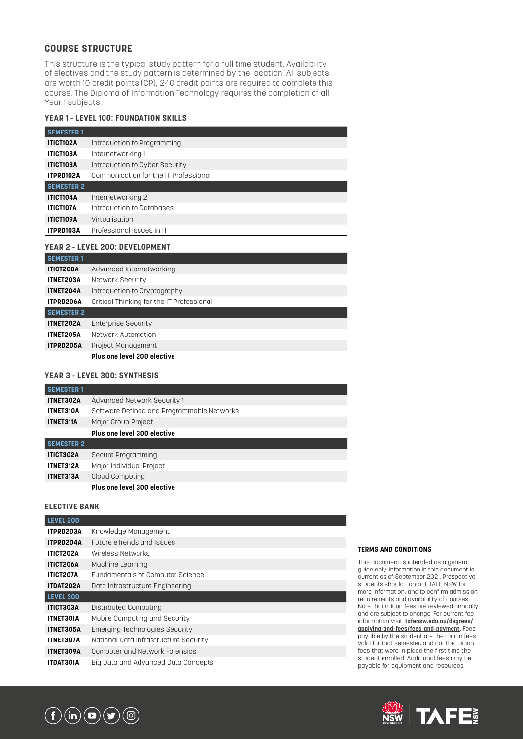#### **COURSE STRUCTURE**

This structure is the typical study pattern for a full time student. Availability of electives and the study pattern is determined by the location. All subjects are worth 10 credit points (CP), 240 credit points are required to complete this course. The Diploma of Information Technology requires the completion of all Year 1 subjects.

#### **YEAR 1 - LEVEL 100: FOUNDATION SKILLS**

| <b>SEMESTER 1</b> |                                       |
|-------------------|---------------------------------------|
| ITICT102A         | Introduction to Programming           |
| <b>ITICT103A</b>  | Internetworking 1                     |
| <b>ITICT108A</b>  | Introduction to Cyber Security        |
| ITPRD102A         | Communication for the IT Professional |
| <b>SEMESTER 2</b> |                                       |
| <b>ITICT104A</b>  | Internetworking 2                     |
| <b>ITICT107A</b>  | Introduction to Databases             |
| <b>ITICT109A</b>  | Virtualisation                        |
| ITPRD103A         | Professional Issues in IT             |
|                   | YEAR 2 - LEVEL 200: DEVELOPMENT       |
|                   |                                       |
| <b>SEMESTER 1</b> |                                       |
| <b>ITICT208A</b>  | Advanced Internetworking              |
| <b>ITNET203A</b>  | Network Security                      |
|                   |                                       |

|                   | Plus one level 200 elective               |
|-------------------|-------------------------------------------|
| ITPRD205A         | Project Management                        |
| ITNET205A         | Network Automation                        |
| ITNET202A         | <b>Enterprise Security</b>                |
| <b>SEMESTER 2</b> |                                           |
| <b>ITPRD206A</b>  | Critical Thinking for the IT Professional |
| ITNET204A         | Introduction to Cryptography              |

#### **YEAR 3 - LEVEL 300: SYNTHESIS**

| <b>SEMESTER 1</b> |                                            |
|-------------------|--------------------------------------------|
| ITNET302A         | Advanced Network Security 1                |
| ITNET310A         | Software Defined and Programmable Networks |
| <b>ITNET311A</b>  | Major Group Project                        |
|                   | Plus one level 300 elective                |
| <b>SEMESTER 2</b> |                                            |
| <b>ITICT302A</b>  | Secure Programming                         |
| <b>ITNET312A</b>  | Major Individual Project                   |
| ITNET313A         | Cloud Computing                            |
|                   | Plus one level 300 elective                |

#### **ELECTIVE BANK**

| <b>LEVEL 200</b> |                                       |
|------------------|---------------------------------------|
| ITPRD203A        | Knowledge Management                  |
| <b>ITPRD204A</b> | Future eTrends and Issues             |
| <b>ITICT202A</b> | Wireless Networks                     |
| <b>ITICT206A</b> | Machine Learning                      |
| <b>ITICT207A</b> | Fundamentals of Computer Science      |
| <b>ITDAT202A</b> | Data Infrastructure Engineering       |
| <b>LEVEL 300</b> |                                       |
| <b>ITICT303A</b> | Distributed Computing                 |
| <b>ITNET301A</b> | Mobile Computing and Security         |
| <b>ITNET305A</b> | Emerging Technologies Security        |
| <b>ITNET307A</b> | National Data Infrastructure Security |
| <b>ITNET309A</b> | Computer and Network Forensics        |
| <b>ITDAT301A</b> | Big Data and Advanced Data Concepts   |
|                  |                                       |

#### **TERMS AND CONDITIONS**

This document is intended as a general guide only. Information in this document is current as of September 2021. Prospective students should contact TAFE NSW for more information, and to confirm admission requirements and availability of courses. Note that tuition fees are reviewed annually and are subject to change. For current fee information visit: **[tafensw.edu.au/degrees/](https://www.tafensw.edu.au/degrees/applying-and-fees/fees-and-payment) [applying-and-fees/fees-and-payment](https://www.tafensw.edu.au/degrees/applying-and-fees/fees-and-payment).** Fees payable by the student are the tuition fees valid for that semester, and not the tuition fees that were in place the first time the student enrolled. Additional fees may be payable for equipment and resources.